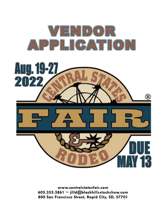

www.centralstatesfair.com 605.355.3861  $\sim$  jilld@blackhillsstockshow.com 800 San Francisco Street, Rapid City, SD, 57701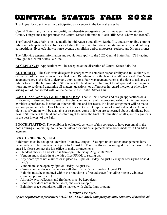Thank you for your interest in participating as a vendor in the Central States Fair!

Central States Fair, Inc. is a non-profit, member-driven organization that manages the Pennington County Fairgrounds and produces the Central States Fair and the Black Hills Stock Show and Rodeo® .

The Central States Fair is held annually in mid-August and allows Rapid City and surrounding communities to participate in fair activities including the carnival; free stage entertainment; craft and culinary competitions; livestock shows; horse events; demolition derby; motocross; rodeos, and Xtreme broncs!

The following general information and regulations apply to the 2022 Central States Fair (CSF) acting through the Central States Fair, Inc.

**ACCEPTANCE**: Applications will be accepted at the discretion of Central States Fair, Inc.

**AUTHORITY**: The CSF or its delegates is charged with complete responsibility and full authority to enforce all of the provisions of these Rules and Regulations for the benefit of all concerned. Fair Management reserves the right to deny any applications. Fair Management reserves the right to ask any exhibitor to leave the fairgrounds. CSF reserves the final and absolute right to interpret rules and regulations and to settle and determine all matters, questions, or differences in regard thereto, or otherwise arising out of, connected with, or incidental to the Central States Fair.

**BOOTH ASSIGNMENT & INFORMATION:** The CSF will screen and assign applications on a first-come, first-served basis based on the character and size of the proposed exhibit, individual needs, exhibitor's preference, location of other exhibitors and fair needs. No booth assignment will be made without payment in full. Fair Management does not restrict duplication of non-food vendors. A complete list of vendors will be available as responses come in if you are concerned about a duplicate business. CSF reserves the final and absolute right to make the final determination of all space assignments in the best interest of the Fair.

**BOOTH STAFFING**: The exhibitor is obligated, as terms of this contract, to have personnel in the booth during all operating hours hours unless previous arrangements have been made with Fair Management.

#### **BOOTH CHECK-IN, SET-UP:**

Exhibitors must be set up no later than Thursday, August 18 at 6pm unless other arrangements have been made with fair management prior to August 15. Food booths are encouraged to arrive prior to August 18, please contact the fair office to make arrangements.

- Standard check-in and set up is 8am-6pm, Thursday, August 18, 2022.
- Vendors must check-in at the fair office PRIOR to setting up.
- Any booth space not claimed or in place by 12pm on Friday, August 19 may be reassigned or sold by CSF.
- Vendors must be open by 3pm on Friday, August 19.
- Carnival and midway concessions will also open at 3pm o Friday, August 19.
- Exhibits must be contained within the boundaries of rented space (including hitches, windows, counters, pop-outs, etc.).
- All roadways, walkways and fire lanes must be kept clear.
- Booth space does not include tables, chairs or canopies.
- Exhibitor space boundaries will be marked with chalk, flags or paint.

#### *IMPORTANT NOTE:*

*Space requirements for trailers MUST INCLUDE hitch, canopies/pop-outs, counters. If needed, ad-*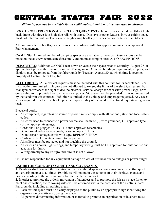#### *ditional space may be available for an additional cost, but it must be requested in advance.*

**BOOTH CONSTRUCTION & SPECIAL REQUIRMENTS**: Indoor spaces include an 8-foot high back drape with three-foot high side rails with drape. Displays or other features in your exhibit space must not interfere with a clear view of neighboring booths (i.e., sides cannot be taller than 3-feet).

All buildings, tents, booths, or enclosures in accordance with this application must have approval of Fair Management.

**CAMPING**: A limited number of camping spaces are available for vendors. Reservations can be made online at www.centralstatesfair.com. Vendors must camp in Area A, NO EXCEPTIONS.

**DEPARTURE:** Exhibitor CANNOT tear down or vacate their space prior to Saturday, August 27 at 8pm without prior authorization from Fair Management. All tents, buildings, equipment, supplies, and displays must be removed from the fairgrounds by Tuesday, August 30, at which time it becomes property of Central States Fair, Inc.

**ELECTRICITY**: All electrical requests must be included with this contract for its acceptance. Electrical outlets are limited. Exhibitors are not allowed to exceed the limits of the electrical system. Fair Management reserves the right to decline electrical service, charge for excessive power usage, or require exhibitor to provide their own electrical power. NO power will be provided if it is not requested by the vendor in this contract. Exhibitor is limited to the voltage and amperage requested. Any accessories required for electrical hook up is the responsibility of the vendor. Electrical requests are guaranteed.

Electrical cords:

- All equipment, regardless of source of power, must comply with all national, state and local safety codes.
- All cords used to connect to a power source shall be three (3) wire grounded, UL approved type cord of appropriate gauge.
- Cords shall be plugged DIRECTLY into approved receptacles.
- Do not overload extension cords, or use octopus fixtures.
- Do not repair damaged cords with tape. REPLACE THEM!
- Cords must NOT create a hazard to the public.
- All splices must be protected and not touching the ground.
- All extension cords, light strings, and temporary wiring must be UL approved for outdoor use and adequate for draw.
- Wiring directly to any Fairgrounds circuit is not allowed.

CSF is not responsible for any equipment damage or loss of business due to outages or power surges.

#### **EXHIBITOR CODE OF CONDUCT AND COVENANTS**:

**1.** Exhibitor shall conduct the operation of their exhibit, display or concession in a respectful, quiet and orderly manner at all times. Exhibitors will maintain the contents of their displays, menus and prices according to the information submitted with the contract.

**2.** In order to promote the orderly movement of attendees and to promote the fair as a place for enjoyment and education, the following rules will be enforced within the confines of the Centrals States Fairgrounds, including all parking areas.

- Each exhibit space must be clearly displayed to the public by an appropriate sign identifying the organization or entity occupying the space.
- All persons disseminating information or material to promote an organization or business must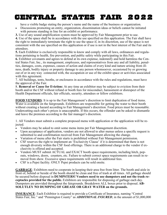have a visible badge stating the person's name and the name of the business or organization.

- Discussions promoting an entity, organization, dissemination ideas or beliefs cannot be initiated with persons standing in line for an exhibit or performance.
- **3.** Use of any sound amplification system must be approved by Fair Management prior to use.

**4.** Use of the space shall be in accordance with the use specified on this application. The Fair shall have the right to immediately terminate the right to use the space if, in its discretion, use of the space is not consistent with the use specified on this application or if use is not in the best interest of the Fair and its attendees.

**5.** Each Exhibitor is exclusively responsible to know and comply with all laws, ordinances and regulations pertaining to health, fire prevention, and public safety while participating in this Fair.

**6.** Exhibitor covenants and agrees to defend at its own expense, indemnify and hold harmless the Central States Fair, Inc., its management, employees, and representatives from any and all liability, penalties, damages, costs, expenses, causes of action and claims of every kind and nature arising from illness, death, bodily injury or property damage to any person whomsoever, occasioned by or growing out of or in any way connected with, the occupation or use of the exhibit space or activities associated with this agreement.

7. All buildings, tents, booths, or enclosures in accordance with the rules and regulations, must have the approval of the Fair.

8. **Removal or Cause for Eviction:** At any time an exhibitor may be subject to eviction from their booth and/or the CSF without refund or booth fees for misconduct, harassment or disrespect of the Health Department officials, fair officials, security, attendees or fellow exhibitors.

**FOOD VENDORS**: It is up to the Fair Management's discretion to limit duplication of food items. Water is available on the fairgrounds. Exhibitors are responsible for getting the water to their booth without creating a hazard according to Fair Management's discretion. Food prices must be reasonable. Undercutting each other's prices is unacceptable. If this occurs, the offender can be asked to dismantle and leave the premises according to the fair manager's discretion.

1. All Vendors must submit a complete proposed menu with application or the application will be rejected.

- Vendors may be asked to omit some menu items per Fair Management discretion.
- Upon acceptance of application, vendors are not allowed to alter menus unless a specific request is submitted to and confirmation received from Fair Management allowing the change.
- Variation of menu after the Fair starts is prohibited without Fair Management permission.
- CSF reserves the right to implement an 'Exclusivity Clause' if it is determined that there is not enough diversity within the CSF food offerings. There is an additional charge to the vendor if exclusivity is offered and accepted.
- Vendors MUST submit ACTUAL and EXACT booth space requirements, including hitch, popouts, windows, doors, counters, etc. Failure to submit correct space requirements can result in removal from show. Excessive space requirements will result in additional fees.
- CSF is a Pepsi facility. ONLY Pepsi products can be sold onsite.

**GARBAGE**: Exhibitors need to cooperate in keeping their area free from litter. The booth and aisle in front of, behind or beside of the booth should be clean and free of trash at all times. All garbage should be secured before disposal in **DUMPSTERS! Vendors need to use dumpsters and not the trash receptacles provided for the public.** Exhibitors are responsible for disposing of garbage each day. Dumpsters are provided throughout the fairgrounds. Breakdown ALL boxes prior to disposal. **AB-SOLUTLEY NO DUMPING OF GREASE OR GRAY WATER on the grounds.**

**INSURANCE**: Each Exhibitor is required to provide a Certificate of Insurance, naming "Central States Fair, Inc." and "Pennington County" as *ADDITIONAL INSURED*, in the amount of \$1,000,000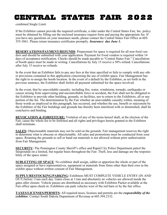combined Single Limit.

If the Exhibitor cannot provide the required certificate, a rider under the Central States Fair, Inc. policy must be obtained by filling out the enclosed insurance request form and paying the appropriate fee. If you have any questions on your insurance needs, please contact the Central States Fair Office at 605- 355-3861. Please return insurance certificates promptly. *Insurance due June 1.*

**RESERVATIONS/PAYMENT/REFUNDS**: Prepayment for space is required for all non-food vendors and should be submitted with your application. Payment for Food vendors is required within 14 days of acceptance notification. Checks should be made payable to "Central States Fair." Cancellation of booth space must be made in writing. Cancellations by July 15 receive a 50% refund. Cancellations after July 15 receive no refunds.

In the event that an Exhibitor fails to pay any fees at the time specified or fails to comply with any other provisions contained in this application concerning the use of exhibit space, Fair Management has the right to re-assign the booth location. In the event of a default by the Exhibitor, as set forth in the previous sentence, the Exhibitor shall forfeit all payment submitted for the space involved.

In the event, that by unavoidable casualty, including fire, water, windstorm, tornado, earthquake or causes arising from supervening and uncontrollable force or accident, the Fair shall not be obligated to the Exhibitor to provide other building, grounds, or facilities, nor to return to the Exhibitors, all or any portion of the fee. The determination by the Fair whether an unavoidable casualty within, meaning of those words as employed in this paragraph, has occurred, and whether the use, benefit or enjoyment by the Exhibitor of the Fair buildings and grounds has thereby been interfered with or diminished, shall be conclusive and binding.

**REVOCATION & FORFEITURE:** Violation of any of the terms hereof shall, at the election of the Fair, cause the whole fee to be forfeited and all rights and privileges herein granted to the Exhibitor shall terminate.

**SALES:** Objectionable materials may not be sold on the grounds. Fair management reserves the right to determine what is obscene or objectionable. All sales and promotions must be conducted from your space. Roaming the grounds to sell or hand out materials is not allowed without prior authorization from Fair Management.

**SECURITY:** The Pennington County Sheriff's office and Rapid City Police Department patrol the fairgrounds on a limited, but regular basis throughout the Fair. Theft, loss and damage are the responsibility of the space renter.

**SUBLETTING OF SPACE**: No exhibitor shall assign, sublet or apportion the whole or part of the space assigned or have representatives, equipment or materials from firms other than their own in the exhibit space without written consent of Fair Management.

**SUPPLY/RESTOCKING/PARKING:** Exhibitors MUST COMPLETE VEHICLE ENTRY (IN AND OUT) before 11am each day. Gates close at 11am and absolutely no vehicles are allowed inside the gates after closure. Vehicle passes are distributed as necessary with Exhibitor Packet available at the Fair office upon check-in. Exhibitors can park vehicles west of the red barn or by the fair office.

**TAXES/LICENSES/PERMITS:** All required taxes, licenses and permits are the *responsibility of the exhibitor.* Contact South Dakota Department of Revenue at 605.394.2332.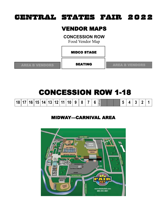#### VENDOR MAPS

**CONCESSION ROW**

Food Vendor Map

MIDCO STAGE

SEATING

AREA B VENDORS **AREA B VENDORS** 

# CONCESSION ROW 1-18

| 18   17   16   15   14   13   12   11   10 |  |  |  | $\mathbf{Q}$ | 8 |  | valkway |  | - |  |  |
|--------------------------------------------|--|--|--|--------------|---|--|---------|--|---|--|--|
|                                            |  |  |  |              |   |  |         |  |   |  |  |

#### MIDWAY—CARNIVAL AREA

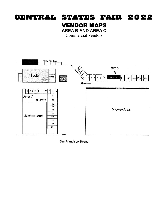#### VENDOR MAPS **AREA B AND AREA C**

Commercial Vendors





San Francisco Street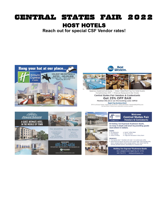### CENTRAL STATES FAIR 2022 HOST HOTELS

**Reach out for special CSF Vendor rates!**







Spacious Guestrooms & Suites · Indoor WaterPark Free For Hotel Guests Complimentary WiFi · Minervas Restaurant & Bar Onsite

#### **Central States Fair Vendors & Contestants** Get 25% OFF BAR Mention this ad or use this booking code: CSF22

 $\pmb{\text{Rapid City Ramkota Hotel}}{\text{Ramkota Hotel}} \vspace{-0.1cm} \vspace{-0.1cm} \vspace{-0.1cm} \vspace{-0.1cm} \vspace{-0.1cm} \vspace{-0.1cm} \vspace{-0.1cm} \vspace{-0.1cm} \vspace{-0.1cm} \vspace{-0.1cm} \vspace{-0.1cm} \vspace{-0.1cm} \vspace{-0.1cm} \vspace{-0.1cm} \vspace{-0.1cm} \vspace{-0.1cm} \vspace{-0.1cm} \vspace{-0.1cm} \vspace{-0.1cm} \vspace{-0.1cm} \vspace{-0.1cm} \vspace{-0.1$ 



1611 Caregiver Circle Rapid City, SD 57702 605-718-0772 HolidayInnExpress.com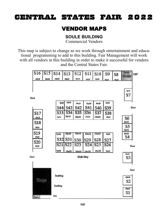#### VENDOR MAPS

#### **SOULE BUILDING**

Commercial Vendors

This map is subject to change as we work through entertainment and educational programming to add to this building. Fair Management will work with all vendors in this building in order to make it successful for vendors and the Central States Fair.

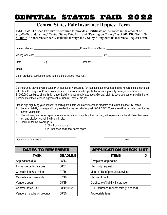#### **Central States Fair Insurance Request Form INSURANCE**: Each Exhibitor is required to provide a Certificate of Insurance in the amount of \$1,000,000 and naming "Central States Fair, Inc." and "Pennington County" as **ADDITIONAL IN-SURED**. An insurance rider is available through the CSF by filling out this Insurance Request Form. Business Name: etc. and the set of the set of the Contact Person/Owner:  $\sim$  Contact Person/Owner:  $\sim$ Mailing Address: \_\_\_\_\_\_\_\_\_\_\_\_\_\_\_\_\_\_\_\_\_\_\_\_\_\_\_\_\_\_\_\_\_\_\_\_\_\_\_\_\_\_\_\_\_\_\_\_\_ City: \_\_\_\_\_\_\_\_\_\_\_\_\_\_\_\_\_\_\_\_\_\_\_\_\_\_\_\_\_\_\_ State: example and  $\sum_{i=1}^{n}$   $\sum_{j=1}^{n}$   $\sum_{j=1}^{n}$   $\sum_{j=1}^{n}$   $\sum_{i=1}^{n}$   $\sum_{j=1}^{n}$   $\sum_{j=1}^{n}$   $\sum_{j=1}^{n}$   $\sum_{j=1}^{n}$   $\sum_{j=1}^{n}$   $\sum_{j=1}^{n}$   $\sum_{j=1}^{n}$   $\sum_{j=1}^{n}$   $\sum_{j=1}^{n}$   $\sum_{j=1}^{n}$   $\sum_{j=1}$ Email: \_\_\_\_\_\_\_\_\_\_\_\_\_\_\_\_\_\_\_\_\_\_\_\_\_\_\_\_\_\_\_\_\_\_\_\_\_\_\_\_\_\_\_\_\_\_\_\_ List of products, services or food items to be provided (required): \_\_\_\_\_\_\_\_\_\_\_\_\_\_\_\_\_\_\_\_\_\_\_\_\_\_\_\_\_\_\_\_\_\_\_\_\_\_\_ Our insurance provider will provide Premises Liability coverage for licensees at the Central States Fairgrounds under a blanket policy. Coverage for Concessionaires and Exhibitors includes public liability and property damage liability with a \$1,000,000 combined single limit. Liquor Liability is specifically excluded. General Liability coverage conforms with the requirements of the Licenses Agreement for Central States Fair, Inc. Please sign signifying your consent to participate in this voluntary insurance program and return it to the CSF office. 1. General Liability coverage will be provided for the period of August 19-28, 2022. Coverage will be provided only for the current year's fair. 2. The following are not acceptable for endorsement of this policy: Ear piercing, tattoo parlors, stroller & wheelchair rentals, and displays containing live animals. 3. Premium for this coverage is: \$160 - 1 booth space \$45 - per each additional booth space. Signature for Insurance Date

| <b>DATES TO REMEMBER</b>    |                 |  |  |  |  |  |  |  |
|-----------------------------|-----------------|--|--|--|--|--|--|--|
| TASK                        | <b>DEADLINE</b> |  |  |  |  |  |  |  |
| Applications due            | 05/13           |  |  |  |  |  |  |  |
| Insurance certificate due   | 06/01           |  |  |  |  |  |  |  |
| Cancellation 50% refund     | 07/15           |  |  |  |  |  |  |  |
| Cancellation no refunds     | 07/16           |  |  |  |  |  |  |  |
| Vendors open                | 08/19           |  |  |  |  |  |  |  |
| Central States Fair         | 08/19-08/28     |  |  |  |  |  |  |  |
| Vendors must be off grounds | 08/30           |  |  |  |  |  |  |  |

APPLICATION CHECK LIST **ITEMS X** Completed application Electricity request Menu or list of products/services Photos of booth Certificate of liability insurance CSF Insurance request form (if needed) Appropriate fees